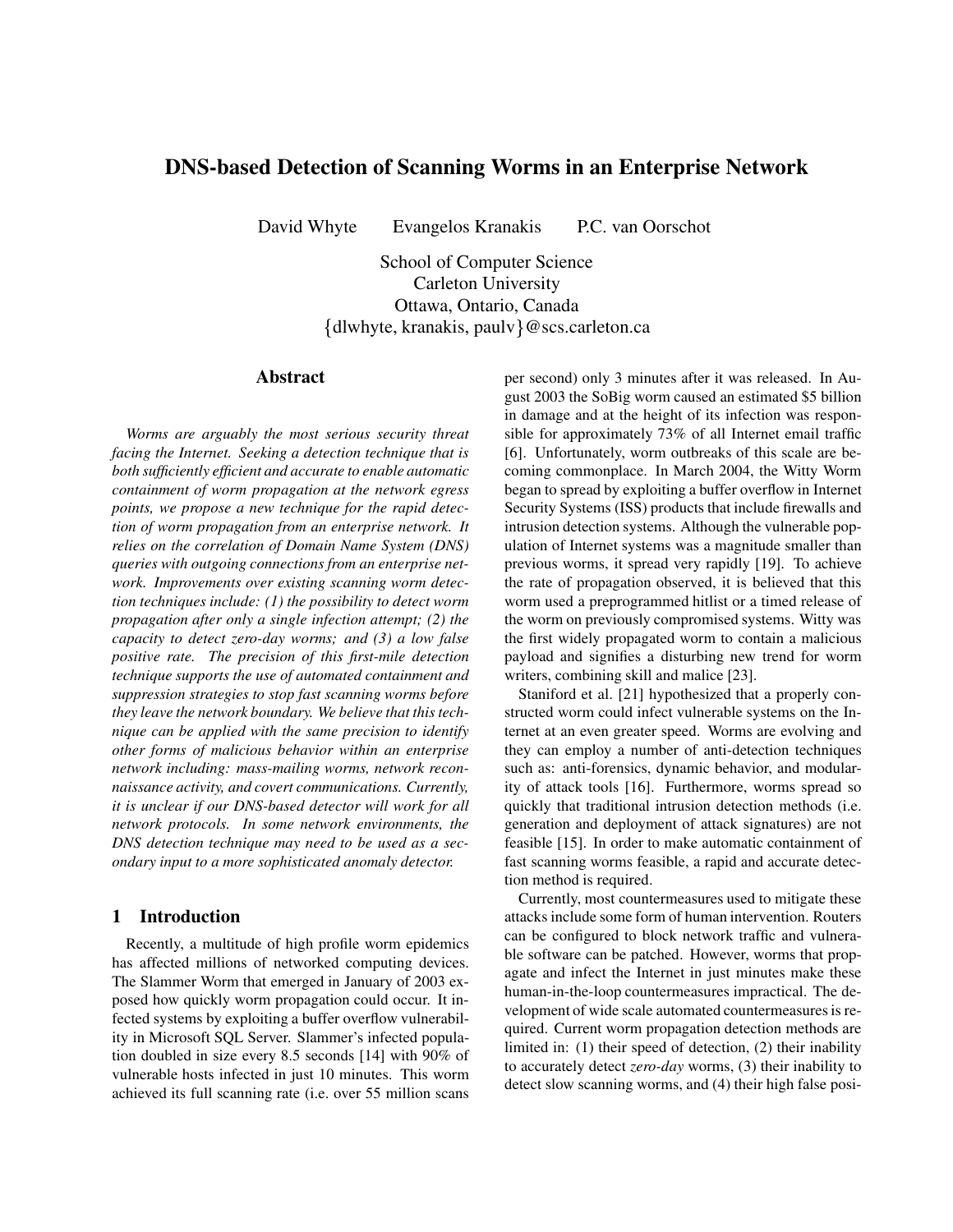# **DNS-based Detection of Scanning Worms in an Enterprise Network**

David Whyte Evangelos Kranakis P.C. van Oorschot

School of Computer Science Carleton University Ottawa, Ontario, Canada  $\{dlwhyte, kranakis, paulv\} @ {scs.carleton.ca}$ 

# **Abstract**

*Worms are arguably the most serious security threat facing the Internet. Seeking a detection technique that is both sufficiently efficient and accurate to enable automatic containment of worm propagation at the network egress points, we propose a new technique for the rapid detection of worm propagation from an enterprise network. It relies on the correlation of Domain Name System (DNS) queries with outgoing connections from an enterprise network. Improvements over existing scanning worm detection techniques include: (1) the possibility to detect worm propagation after only a single infection attempt; (2) the capacity to detect zero-day worms; and (3) a low false positive rate. The precision of this first-mile detection technique supports the use of automated containment and suppression strategies to stop fast scanning worms before they leave the network boundary. We believe that this technique can be applied with the same precision to identify other forms of malicious behavior within an enterprise network including: mass-mailing worms, network reconnaissance activity, and covert communications. Currently, it is unclear if our DNS-based detector will work for all network protocols. In some network environments, the DNS detection technique may need to be used as a secondary input to a more sophisticated anomaly detector.*

## **1 Introduction**

Recently, a multitude of high profile worm epidemics has affected millions of networked computing devices. The Slammer Worm that emerged in January of 2003 exposed how quickly worm propagation could occur. It infected systems by exploiting a buffer overflow vulnerability in Microsoft SQL Server. Slammer's infected population doubled in size every 8.5 seconds [14] with 90% of vulnerable hosts infected in just 10 minutes. This worm achieved its full scanning rate (i.e. over 55 million scans

per second) only 3 minutes after it was released. In August 2003 the SoBig worm caused an estimated \$5 billion in damage and at the height of its infection was responsible for approximately 73% of all Internet email traffic [6]. Unfortunately, worm outbreaks of this scale are becoming commonplace. In March 2004, the Witty Worm began to spread by exploiting a buffer overflow in Internet Security Systems (ISS) products that include firewalls and intrusion detection systems. Although the vulnerable population of Internet systems was a magnitude smaller than previous worms, it spread very rapidly [19]. To achieve the rate of propagation observed, it is believed that this worm used a preprogrammed hitlist or a timed release of the worm on previously compromised systems. Witty was the first widely propagated worm to contain a malicious payload and signifies a disturbing new trend for worm writers, combining skill and malice [23].

Staniford et al. [21] hypothesized that a properly constructed worm could infect vulnerable systems on the Internet at an even greater speed. Worms are evolving and they can employ a number of anti-detection techniques such as: anti-forensics, dynamic behavior, and modularity of attack tools [16]. Furthermore, worms spread so quickly that traditional intrusion detection methods (i.e. generation and deployment of attack signatures) are not feasible [15]. In order to make automatic containment of fast scanning worms feasible, a rapid and accurate detection method is required.

Currently, most countermeasures used to mitigate these attacks include some form of human intervention. Routers can be configured to block network traffic and vulnerable software can be patched. However, worms that propagate and infect the Internet in just minutes make these human-in-the-loop countermeasures impractical. The development of wide scale automated countermeasures is required. Current worm propagation detection methods are limited in: (1) their speed of detection, (2) their inability to accurately detect *zero-day* worms, (3) their inability to detect slow scanning worms, and (4) their high false posi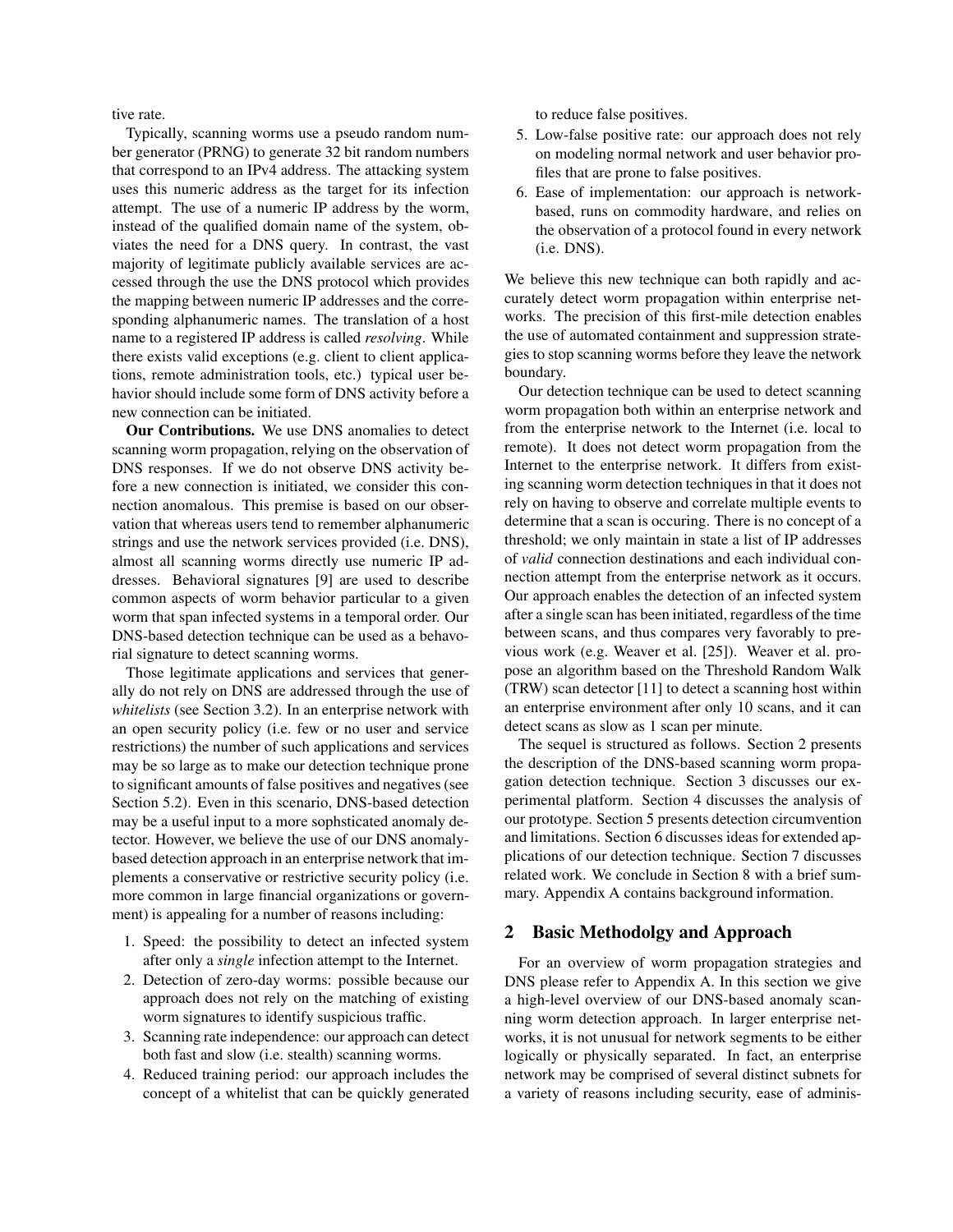tive rate.

Typically, scanning worms use a pseudo random number generator (PRNG) to generate 32 bit random numbers that correspond to an IPv4 address. The attacking system uses this numeric address as the target for its infection attempt. The use of a numeric IP address by the worm, instead of the qualified domain name of the system, obviates the need for a DNS query. In contrast, the vast majority of legitimate publicly available services are accessed through the use the DNS protocol which provides the mapping between numeric IP addresses and the corresponding alphanumeric names. The translation of a host name to a registered IP address is called *resolving*. While there exists valid exceptions (e.g. client to client applications, remote administration tools, etc.) typical user behavior should include some form of DNS activity before a new connection can be initiated.

**Our Contributions.** We use DNS anomalies to detect scanning worm propagation, relying on the observation of DNS responses. If we do not observe DNS activity before a new connection is initiated, we consider this connection anomalous. This premise is based on our observation that whereas users tend to remember alphanumeric strings and use the network services provided (i.e. DNS), almost all scanning worms directly use numeric IP addresses. Behavioral signatures [9] are used to describe common aspects of worm behavior particular to a given worm that span infected systems in a temporal order. Our DNS-based detection technique can be used as a behavorial signature to detect scanning worms.

Those legitimate applications and services that generally do not rely on DNS are addressed through the use of *whitelists* (see Section 3.2). In an enterprise network with an open security policy (i.e. few or no user and service restrictions) the number of such applications and services may be so large as to make our detection technique prone to significant amounts of false positives and negatives (see Section 5.2). Even in this scenario, DNS-based detection may be a useful input to a more sophsticated anomaly detector. However, we believe the use of our DNS anomalybased detection approach in an enterprise network that implements a conservative or restrictive security policy (i.e. more common in large financial organizations or government) is appealing for a number of reasons including:

- 1. Speed: the possibility to detect an infected system after only a *single* infection attempt to the Internet.
- 2. Detection of zero-day worms: possible because our approach does not rely on the matching of existing worm signatures to identify suspicious traffic.
- 3. Scanning rate independence: our approach can detect both fast and slow (i.e. stealth) scanning worms.
- 4. Reduced training period: our approach includes the concept of a whitelist that can be quickly generated

to reduce false positives.

- 5. Low-false positive rate: our approach does not rely on modeling normal network and user behavior profiles that are prone to false positives.
- 6. Ease of implementation: our approach is networkbased, runs on commodity hardware, and relies on the observation of a protocol found in every network (i.e. DNS).

We believe this new technique can both rapidly and accurately detect worm propagation within enterprise networks. The precision of this first-mile detection enables the use of automated containment and suppression strategies to stop scanning worms before they leave the network boundary.

Our detection technique can be used to detect scanning worm propagation both within an enterprise network and from the enterprise network to the Internet (i.e. local to remote). It does not detect worm propagation from the Internet to the enterprise network. It differs from existing scanning worm detection techniques in that it does not rely on having to observe and correlate multiple events to determine that a scan is occuring. There is no concept of a threshold; we only maintain in state a list of IP addresses of *valid* connection destinations and each individual connection attempt from the enterprise network as it occurs. Our approach enables the detection of an infected system after a single scan has been initiated, regardless of the time between scans, and thus compares very favorably to previous work (e.g. Weaver et al. [25]). Weaver et al. propose an algorithm based on the Threshold Random Walk (TRW) scan detector [11] to detect a scanning host within an enterprise environment after only 10 scans, and it can detect scans as slow as 1 scan per minute.

The sequel is structured as follows. Section 2 presents the description of the DNS-based scanning worm propagation detection technique. Section 3 discusses our experimental platform. Section 4 discusses the analysis of our prototype. Section 5 presents detection circumvention and limitations. Section 6 discusses ideas for extended applications of our detection technique. Section 7 discusses related work. We conclude in Section 8 with a brief summary. Appendix A contains background information.

# **2 Basic Methodolgy and Approach**

For an overview of worm propagation strategies and DNS please refer to Appendix A. In this section we give a high-level overview of our DNS-based anomaly scanning worm detection approach. In larger enterprise networks, it is not unusual for network segments to be either logically or physically separated. In fact, an enterprise network may be comprised of several distinct subnets for a variety of reasons including security, ease of adminis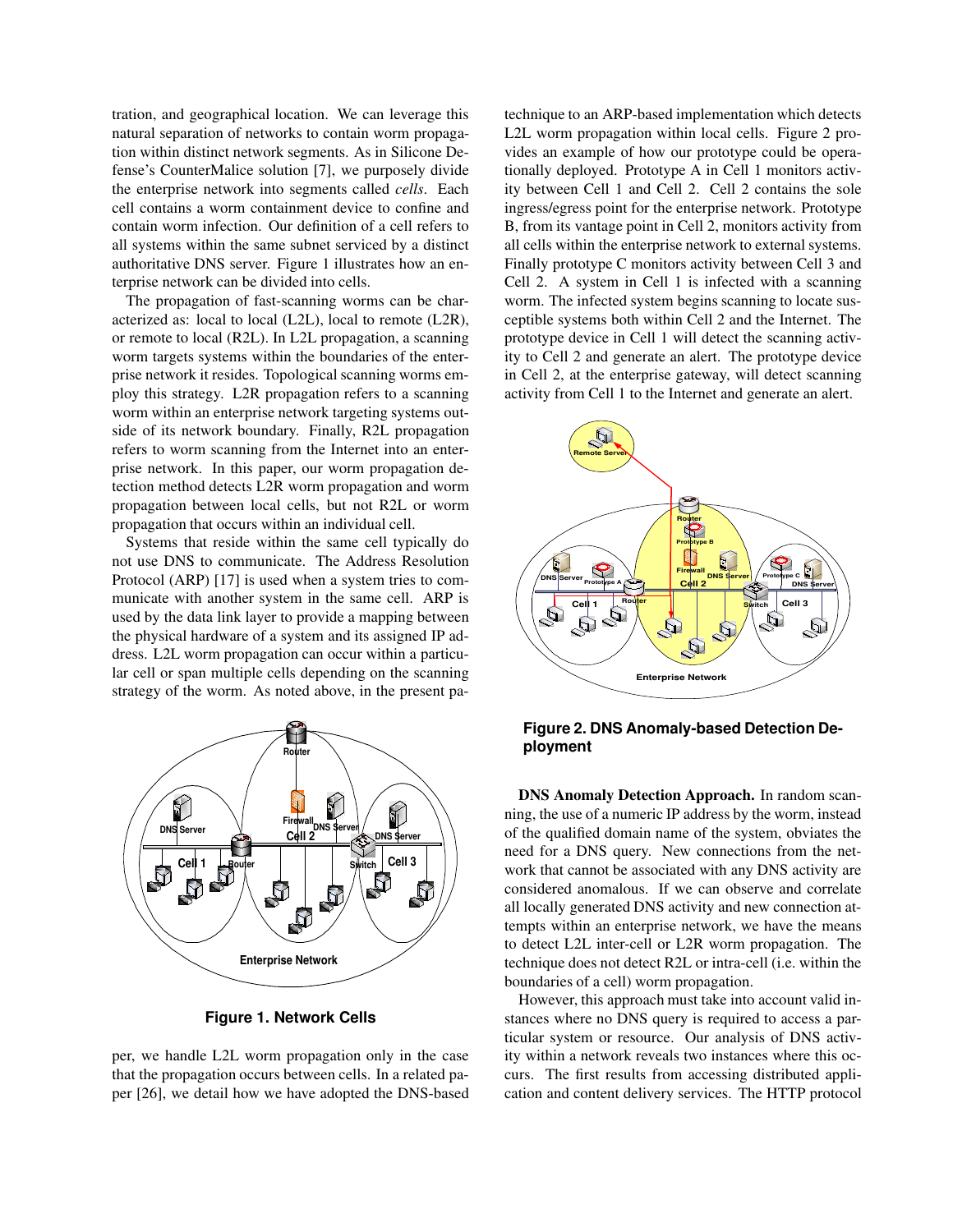tration, and geographical location. We can leverage this natural separation of networks to contain worm propagation within distinct network segments. As in Silicone Defense's CounterMalice solution [7], we purposely divide the enterprise network into segments called *cells*. Each cell contains a worm containment device to confine and contain worm infection. Our definition of a cell refers to all systems within the same subnet serviced by a distinct authoritative DNS server. Figure 1 illustrates how an enterprise network can be divided into cells.

The propagation of fast-scanning worms can be characterized as: local to local (L2L), local to remote (L2R), or remote to local (R2L). In L2L propagation, a scanning worm targets systems within the boundaries of the enterprise network it resides. Topological scanning worms employ this strategy. L2R propagation refers to a scanning worm within an enterprise network targeting systems outside of its network boundary. Finally, R2L propagation refers to worm scanning from the Internet into an enterprise network. In this paper, our worm propagation detection method detects L2R worm propagation and worm propagation between local cells, but not R2L or worm propagation that occurs within an individual cell.

Systems that reside within the same cell typically do not use DNS to communicate. The Address Resolution Protocol (ARP) [17] is used when a system tries to communicate with another system in the same cell. ARP is used by the data link layer to provide a mapping between the physical hardware of a system and its assigned IP address. L2L worm propagation can occur within a particular cell or span multiple cells depending on the scanning strategy of the worm. As noted above, in the present pa-



**Figure 1. Network Cells**

per, we handle L2L worm propagation only in the case that the propagation occurs between cells. In a related paper [26], we detail how we have adopted the DNS-based

technique to an ARP-based implementation which detects L2L worm propagation within local cells. Figure 2 provides an example of how our prototype could be operationally deployed. Prototype A in Cell 1 monitors activity between Cell 1 and Cell 2. Cell 2 contains the sole ingress/egress point for the enterprise network. Prototype B, from its vantage point in Cell 2, monitors activity from all cells within the enterprise network to external systems. Finally prototype C monitors activity between Cell 3 and Cell 2. A system in Cell 1 is infected with a scanning worm. The infected system begins scanning to locate susceptible systems both within Cell 2 and the Internet. The prototype device in Cell 1 will detect the scanning activity to Cell 2 and generate an alert. The prototype device in Cell 2, at the enterprise gateway, will detect scanning activity from Cell 1 to the Internet and generate an alert.



**Figure 2. DNS Anomaly-based Detection Deployment**

**DNS Anomaly Detection Approach.** In random scanning, the use of a numeric IP address by the worm, instead of the qualified domain name of the system, obviates the need for a DNS query. New connections from the network that cannot be associated with any DNS activity are considered anomalous. If we can observe and correlate all locally generated DNS activity and new connection attempts within an enterprise network, we have the means to detect L2L inter-cell or L2R worm propagation. The technique does not detect R2L or intra-cell (i.e. within the boundaries of a cell) worm propagation.

However, this approach must take into account valid instances where no DNS query is required to access a particular system or resource. Our analysis of DNS activity within a network reveals two instances where this occurs. The first results from accessing distributed application and content delivery services. The HTTP protocol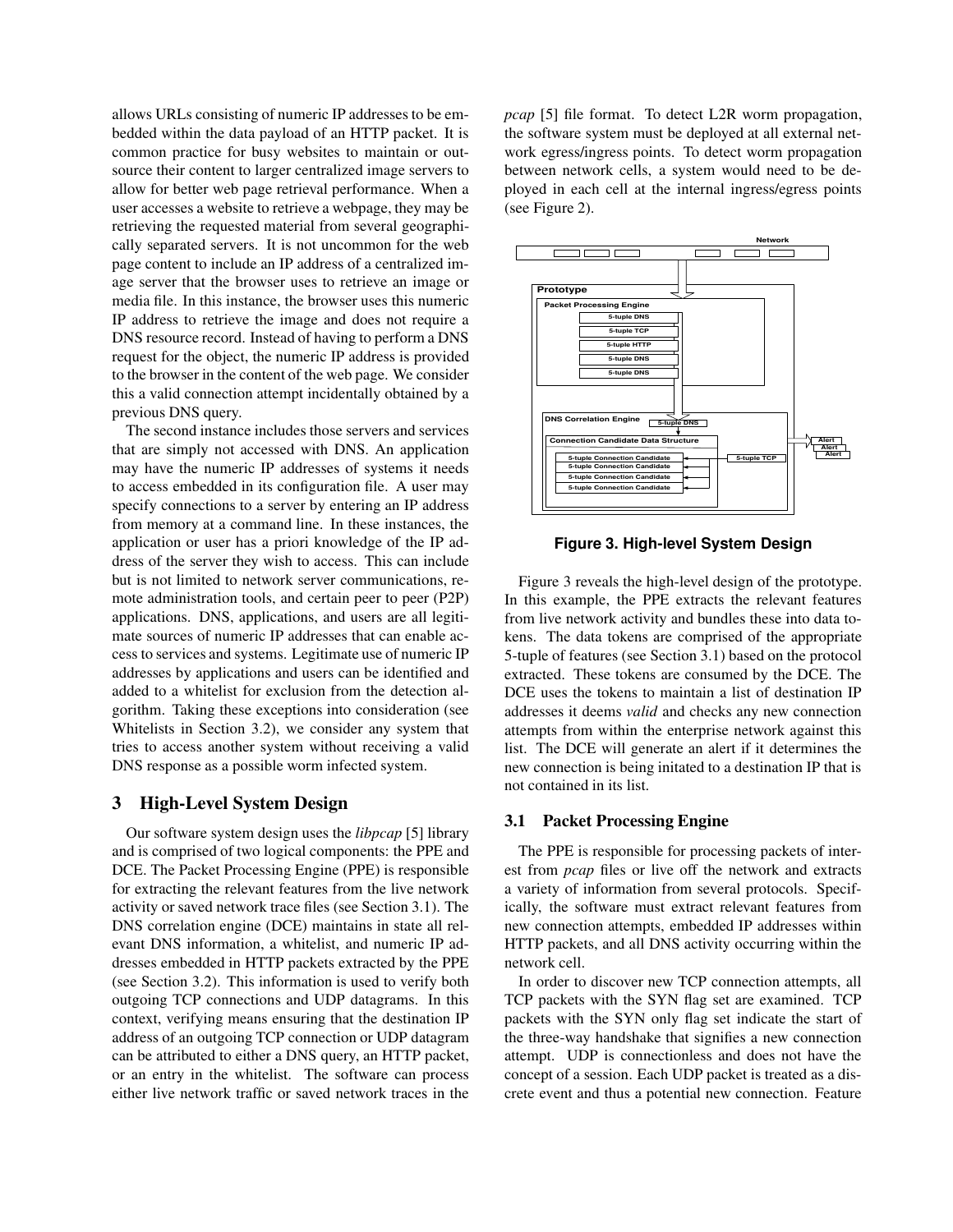allows URLs consisting of numeric IP addresses to be embedded within the data payload of an HTTP packet. It is common practice for busy websites to maintain or outsource their content to larger centralized image servers to allow for better web page retrieval performance. When a user accesses a website to retrieve a webpage, they may be retrieving the requested material from several geographically separated servers. It is not uncommon for the web page content to include an IP address of a centralized image server that the browser uses to retrieve an image or media file. In this instance, the browser uses this numeric IP address to retrieve the image and does not require a DNS resource record. Instead of having to perform a DNS request for the object, the numeric IP address is provided to the browser in the content of the web page. We consider this a valid connection attempt incidentally obtained by a previous DNS query.

The second instance includes those servers and services that are simply not accessed with DNS. An application may have the numeric IP addresses of systems it needs to access embedded in its configuration file. A user may specify connections to a server by entering an IP address from memory at a command line. In these instances, the application or user has a priori knowledge of the IP address of the server they wish to access. This can include but is not limited to network server communications, remote administration tools, and certain peer to peer (P2P) applications. DNS, applications, and users are all legitimate sources of numeric IP addresses that can enable access to services and systems. Legitimate use of numeric IP addresses by applications and users can be identified and added to a whitelist for exclusion from the detection algorithm. Taking these exceptions into consideration (see Whitelists in Section 3.2), we consider any system that tries to access another system without receiving a valid DNS response as a possible worm infected system.

# **3 High-Level System Design**

Our software system design uses the *libpcap* [5] library and is comprised of two logical components: the PPE and DCE. The Packet Processing Engine (PPE) is responsible for extracting the relevant features from the live network activity or saved network trace files (see Section 3.1). The DNS correlation engine (DCE) maintains in state all relevant DNS information, a whitelist, and numeric IP addresses embedded in HTTP packets extracted by the PPE (see Section 3.2). This information is used to verify both outgoing TCP connections and UDP datagrams. In this context, verifying means ensuring that the destination IP address of an outgoing TCP connection or UDP datagram can be attributed to either a DNS query, an HTTP packet, or an entry in the whitelist. The software can process either live network traffic or saved network traces in the *pcap* [5] file format. To detect L2R worm propagation, the software system must be deployed at all external network egress/ingress points. To detect worm propagation between network cells, a system would need to be deployed in each cell at the internal ingress/egress points (see Figure 2).



**Figure 3. High-level System Design**

Figure 3 reveals the high-level design of the prototype. In this example, the PPE extracts the relevant features from live network activity and bundles these into data tokens. The data tokens are comprised of the appropriate 5-tuple of features (see Section 3.1) based on the protocol extracted. These tokens are consumed by the DCE. The DCE uses the tokens to maintain a list of destination IP addresses it deems *valid* and checks any new connection attempts from within the enterprise network against this list. The DCE will generate an alert if it determines the new connection is being initated to a destination IP that is not contained in its list.

## **3.1 Packet Processing Engine**

The PPE is responsible for processing packets of interest from *pcap* files or live off the network and extracts a variety of information from several protocols. Specifically, the software must extract relevant features from new connection attempts, embedded IP addresses within HTTP packets, and all DNS activity occurring within the network cell.

In order to discover new TCP connection attempts, all TCP packets with the SYN flag set are examined. TCP packets with the SYN only flag set indicate the start of the three-way handshake that signifies a new connection attempt. UDP is connectionless and does not have the concept of a session. Each UDP packet is treated as a discrete event and thus a potential new connection. Feature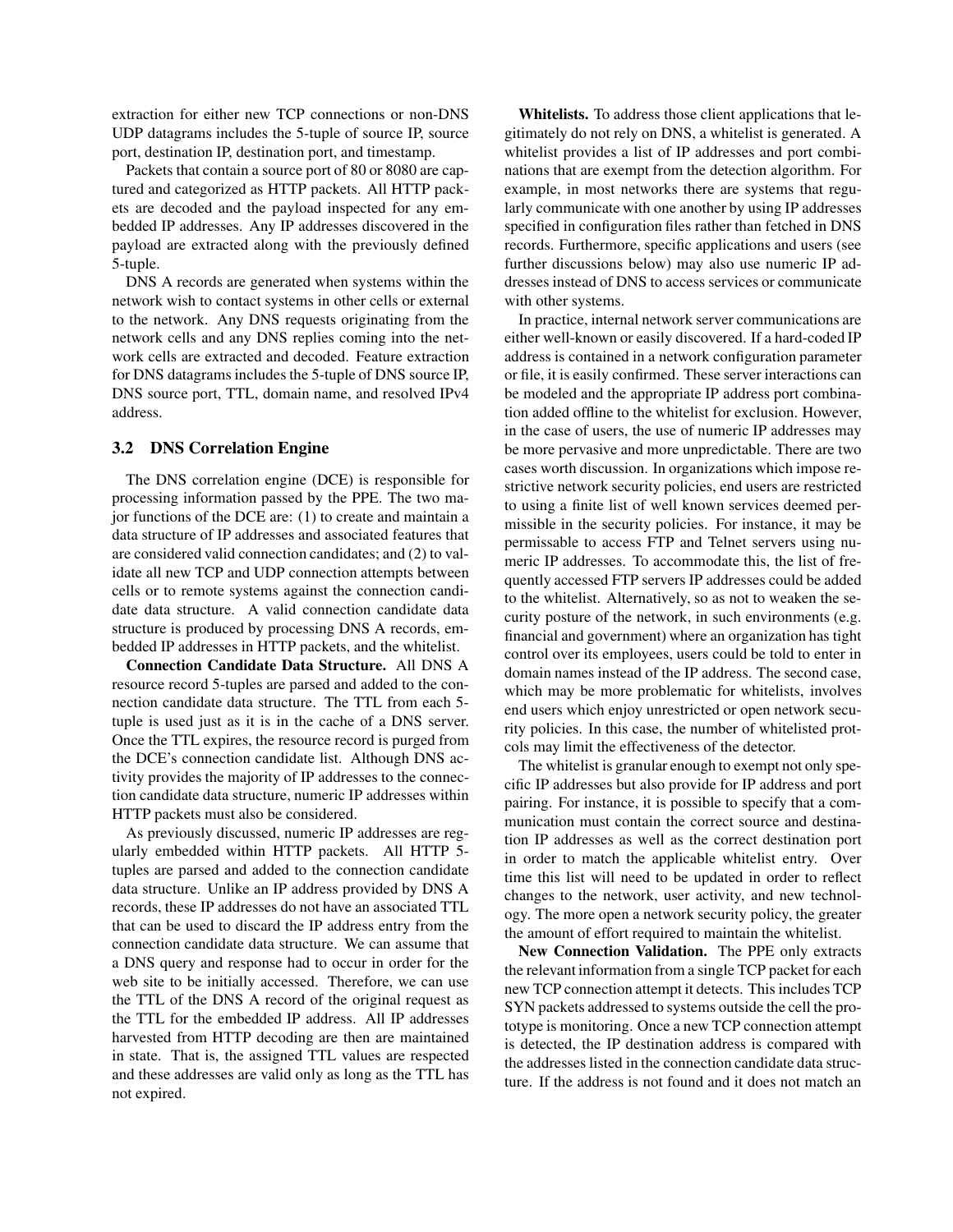extraction for either new TCP connections or non-DNS UDP datagrams includes the 5-tuple of source IP, source port, destination IP, destination port, and timestamp.

Packets that contain a source port of 80 or 8080 are captured and categorized as HTTP packets. All HTTP packets are decoded and the payload inspected for any embedded IP addresses. Any IP addresses discovered in the payload are extracted along with the previously defined 5-tuple.

DNS A records are generated when systems within the network wish to contact systems in other cells or external to the network. Any DNS requests originating from the network cells and any DNS replies coming into the network cells are extracted and decoded. Feature extraction for DNS datagrams includes the 5-tuple of DNS source IP, DNS source port, TTL, domain name, and resolved IPv4 address.

# **3.2 DNS Correlation Engine**

The DNS correlation engine (DCE) is responsible for processing information passed by the PPE. The two major functions of the DCE are: (1) to create and maintain a data structure of IP addresses and associated features that are considered valid connection candidates; and (2) to validate all new TCP and UDP connection attempts between cells or to remote systems against the connection candidate data structure. A valid connection candidate data structure is produced by processing DNS A records, embedded IP addresses in HTTP packets, and the whitelist.

**Connection Candidate Data Structure.** All DNS A resource record 5-tuples are parsed and added to the connection candidate data structure. The TTL from each 5 tuple is used just as it is in the cache of a DNS server. Once the TTL expires, the resource record is purged from the DCE's connection candidate list. Although DNS activity provides the majority of IP addresses to the connection candidate data structure, numeric IP addresses within HTTP packets must also be considered.

As previously discussed, numeric IP addresses are regularly embedded within HTTP packets. All HTTP 5 tuples are parsed and added to the connection candidate data structure. Unlike an IP address provided by DNS A records, these IP addresses do not have an associated TTL that can be used to discard the IP address entry from the connection candidate data structure. We can assume that a DNS query and response had to occur in order for the web site to be initially accessed. Therefore, we can use the TTL of the DNS A record of the original request as the TTL for the embedded IP address. All IP addresses harvested from HTTP decoding are then are maintained in state. That is, the assigned TTL values are respected and these addresses are valid only as long as the TTL has not expired.

**Whitelists.** To address those client applications that legitimately do not rely on DNS, a whitelist is generated. A whitelist provides a list of IP addresses and port combinations that are exempt from the detection algorithm. For example, in most networks there are systems that regularly communicate with one another by using IP addresses specified in configuration files rather than fetched in DNS records. Furthermore, specific applications and users (see further discussions below) may also use numeric IP addresses instead of DNS to access services or communicate with other systems.

In practice, internal network server communications are either well-known or easily discovered. If a hard-coded IP address is contained in a network configuration parameter or file, it is easily confirmed. These server interactions can be modeled and the appropriate IP address port combination added offline to the whitelist for exclusion. However, in the case of users, the use of numeric IP addresses may be more pervasive and more unpredictable. There are two cases worth discussion. In organizations which impose restrictive network security policies, end users are restricted to using a finite list of well known services deemed permissible in the security policies. For instance, it may be permissable to access FTP and Telnet servers using numeric IP addresses. To accommodate this, the list of frequently accessed FTP servers IP addresses could be added to the whitelist. Alternatively, so as not to weaken the security posture of the network, in such environments (e.g. financial and government) where an organization has tight control over its employees, users could be told to enter in domain names instead of the IP address. The second case, which may be more problematic for whitelists, involves end users which enjoy unrestricted or open network security policies. In this case, the number of whitelisted protcols may limit the effectiveness of the detector.

The whitelist is granular enough to exempt not only specific IP addresses but also provide for IP address and port pairing. For instance, it is possible to specify that a communication must contain the correct source and destination IP addresses as well as the correct destination port in order to match the applicable whitelist entry. Over time this list will need to be updated in order to reflect changes to the network, user activity, and new technology. The more open a network security policy, the greater the amount of effort required to maintain the whitelist.

**New Connection Validation.** The PPE only extracts the relevant information from a single TCP packet for each new TCP connection attempt it detects. This includes TCP SYN packets addressed to systems outside the cell the prototype is monitoring. Once a new TCP connection attempt is detected, the IP destination address is compared with the addresses listed in the connection candidate data structure. If the address is not found and it does not match an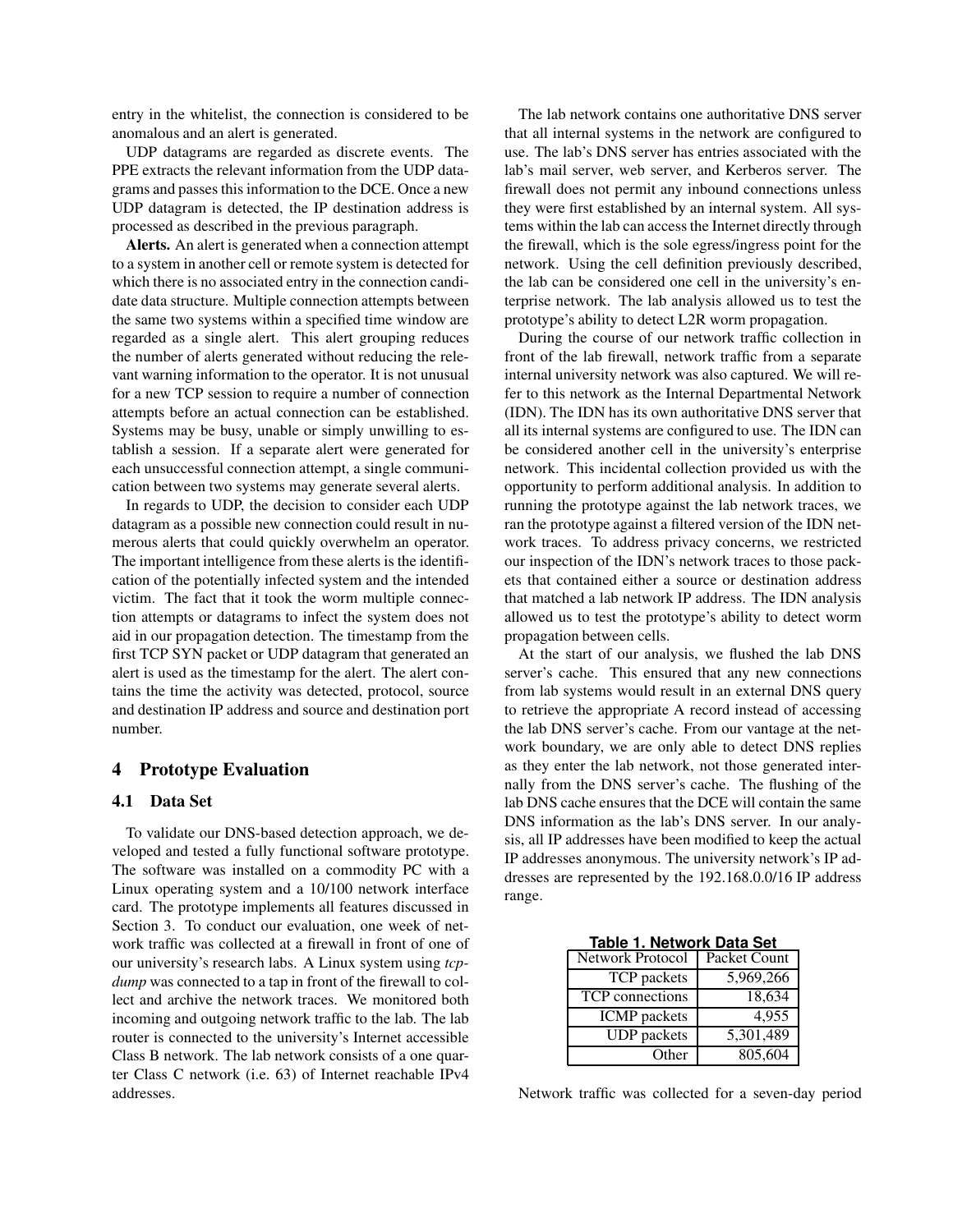entry in the whitelist, the connection is considered to be anomalous and an alert is generated.

UDP datagrams are regarded as discrete events. The PPE extracts the relevant information from the UDP datagrams and passes this information to the DCE. Once a new UDP datagram is detected, the IP destination address is processed as described in the previous paragraph.

**Alerts.** An alert is generated when a connection attempt to a system in another cell or remote system is detected for which there is no associated entry in the connection candidate data structure. Multiple connection attempts between the same two systems within a specified time window are regarded as a single alert. This alert grouping reduces the number of alerts generated without reducing the relevant warning information to the operator. It is not unusual for a new TCP session to require a number of connection attempts before an actual connection can be established. Systems may be busy, unable or simply unwilling to establish a session. If a separate alert were generated for each unsuccessful connection attempt, a single communication between two systems may generate several alerts.

In regards to UDP, the decision to consider each UDP datagram as a possible new connection could result in numerous alerts that could quickly overwhelm an operator. The important intelligence from these alerts is the identification of the potentially infected system and the intended victim. The fact that it took the worm multiple connection attempts or datagrams to infect the system does not aid in our propagation detection. The timestamp from the first TCP SYN packet or UDP datagram that generated an alert is used as the timestamp for the alert. The alert contains the time the activity was detected, protocol, source and destination IP address and source and destination port number.

# **4 Prototype Evaluation**

#### **4.1 Data Set**

To validate our DNS-based detection approach, we developed and tested a fully functional software prototype. The software was installed on a commodity PC with a Linux operating system and a 10/100 network interface card. The prototype implements all features discussed in Section 3. To conduct our evaluation, one week of network traffic was collected at a firewall in front of one of our university's research labs. A Linux system using *tcpdump* was connected to a tap in front of the firewall to collect and archive the network traces. We monitored both incoming and outgoing network traffic to the lab. The lab router is connected to the university's Internet accessible Class B network. The lab network consists of a one quarter Class C network (i.e. 63) of Internet reachable IPv4 addresses.

The lab network contains one authoritative DNS server that all internal systems in the network are configured to use. The lab's DNS server has entries associated with the lab's mail server, web server, and Kerberos server. The firewall does not permit any inbound connections unless they were first established by an internal system. All systems within the lab can access the Internet directly through the firewall, which is the sole egress/ingress point for the network. Using the cell definition previously described, the lab can be considered one cell in the university's enterprise network. The lab analysis allowed us to test the prototype's ability to detect L2R worm propagation.

During the course of our network traffic collection in front of the lab firewall, network traffic from a separate internal university network was also captured. We will refer to this network as the Internal Departmental Network (IDN). The IDN has its own authoritative DNS server that all its internal systems are configured to use. The IDN can be considered another cell in the university's enterprise network. This incidental collection provided us with the opportunity to perform additional analysis. In addition to running the prototype against the lab network traces, we ran the prototype against a filtered version of the IDN network traces. To address privacy concerns, we restricted our inspection of the IDN's network traces to those packets that contained either a source or destination address that matched a lab network IP address. The IDN analysis allowed us to test the prototype's ability to detect worm propagation between cells.

At the start of our analysis, we flushed the lab DNS server's cache. This ensured that any new connections from lab systems would result in an external DNS query to retrieve the appropriate A record instead of accessing the lab DNS server's cache. From our vantage at the network boundary, we are only able to detect DNS replies as they enter the lab network, not those generated internally from the DNS server's cache. The flushing of the lab DNS cache ensures that the DCE will contain the same DNS information as the lab's DNS server. In our analysis, all IP addresses have been modified to keep the actual IP addresses anonymous. The university network's IP addresses are represented by the 192.168.0.0/16 IP address range.

**Table 1. Network Data Set**

| Network Protocol    | Packet Count |
|---------------------|--------------|
| TCP packets         | 5,969,266    |
| TCP connections     | 18,634       |
| <b>ICMP</b> packets | 4.955        |
| <b>UDP</b> packets  | 5,301,489    |
| Other               | 805,604      |

Network traffic was collected for a seven-day period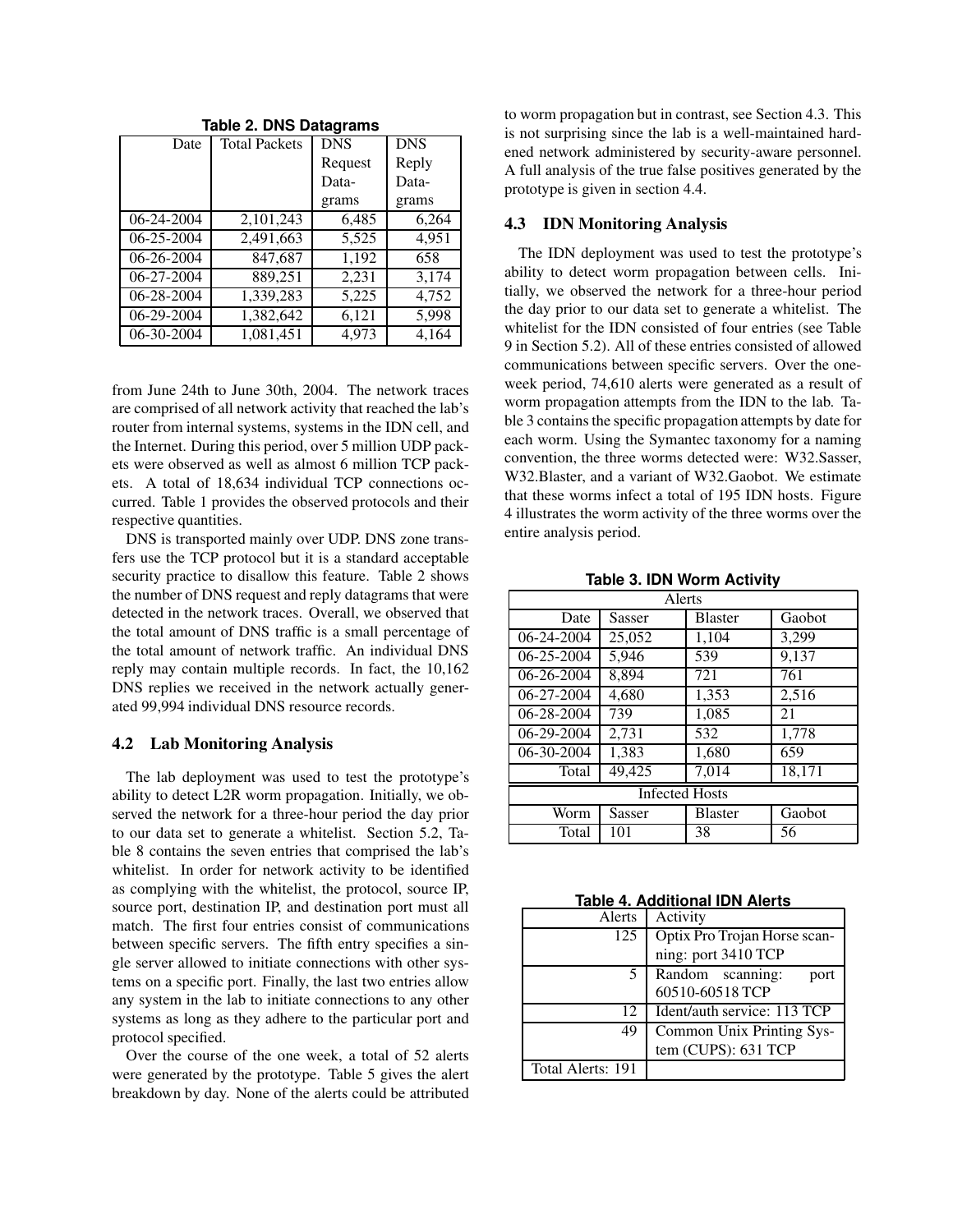| 1800C E. 1910C 1910G19161113 |                      |            |            |  |
|------------------------------|----------------------|------------|------------|--|
| Date                         | <b>Total Packets</b> | <b>DNS</b> | <b>DNS</b> |  |
|                              |                      | Request    | Reply      |  |
|                              |                      | Data-      | Data-      |  |
|                              |                      | grams      | grams      |  |
| 06-24-2004                   | 2,101,243            | 6,485      | 6,264      |  |
| 06-25-2004                   | 2,491,663            | 5,525      | 4,951      |  |
| 06-26-2004                   | 847,687              | 1,192      | 658        |  |
| 06-27-2004                   | 889,251              | 2,231      | 3,174      |  |
| 06-28-2004                   | 1,339,283            | 5,225      | 4,752      |  |
| 06-29-2004                   | 1,382,642            | 6,121      | 5,998      |  |
| 06-30-2004                   | 1,081,451            | 4.973      | 4,164      |  |

**Table 2. DNS Datagrams**

from June 24th to June 30th, 2004. The network traces are comprised of all network activity that reached the lab's router from internal systems, systems in the IDN cell, and the Internet. During this period, over 5 million UDP packets were observed as well as almost 6 million TCP packets. A total of 18,634 individual TCP connections occurred. Table 1 provides the observed protocols and their respective quantities.

DNS is transported mainly over UDP. DNS zone transfers use the TCP protocol but it is a standard acceptable security practice to disallow this feature. Table 2 shows the number of DNS request and reply datagrams that were detected in the network traces. Overall, we observed that the total amount of DNS traffic is a small percentage of the total amount of network traffic. An individual DNS reply may contain multiple records. In fact, the 10,162 DNS replies we received in the network actually generated 99,994 individual DNS resource records.

## **4.2 Lab Monitoring Analysis**

The lab deployment was used to test the prototype's ability to detect L2R worm propagation. Initially, we observed the network for a three-hour period the day prior to our data set to generate a whitelist. Section 5.2, Table 8 contains the seven entries that comprised the lab's whitelist. In order for network activity to be identified as complying with the whitelist, the protocol, source IP, source port, destination IP, and destination port must all match. The first four entries consist of communications between specific servers. The fifth entry specifies a single server allowed to initiate connections with other systems on a specific port. Finally, the last two entries allow any system in the lab to initiate connections to any other systems as long as they adhere to the particular port and protocol specified.

Over the course of the one week, a total of 52 alerts were generated by the prototype. Table 5 gives the alert breakdown by day. None of the alerts could be attributed to worm propagation but in contrast, see Section 4.3. This is not surprising since the lab is a well-maintained hardened network administered by security-aware personnel. A full analysis of the true false positives generated by the prototype is given in section 4.4.

### **4.3 IDN Monitoring Analysis**

The IDN deployment was used to test the prototype's ability to detect worm propagation between cells. Initially, we observed the network for a three-hour period the day prior to our data set to generate a whitelist. The whitelist for the IDN consisted of four entries (see Table 9 in Section 5.2). All of these entries consisted of allowed communications between specific servers. Over the oneweek period, 74,610 alerts were generated as a result of worm propagation attempts from the IDN to the lab. Table 3 contains the specific propagation attempts by date for each worm. Using the Symantec taxonomy for a naming convention, the three worms detected were: W32.Sasser, W32.Blaster, and a variant of W32.Gaobot. We estimate that these worms infect a total of 195 IDN hosts. Figure 4 illustrates the worm activity of the three worms over the entire analysis period.

**Table 3. IDN Worm Activity**

| Alerts                |        |                |        |
|-----------------------|--------|----------------|--------|
| Date                  | Sasser | <b>Blaster</b> | Gaobot |
| $06 - 24 - 2004$      | 25,052 | 1,104          | 3,299  |
| 06-25-2004            | 5,946  | 539            | 9,137  |
| 06-26-2004            | 8.894  | 721            | 761    |
| 06-27-2004            | 4,680  | 1,353          | 2,516  |
| 06-28-2004            | 739    | 1,085          | 21     |
| 06-29-2004            | 2,731  | 532            | 1,778  |
| 06-30-2004            | 1,383  | 1,680          | 659    |
| Total                 | 49,425 | 7,014          | 18,171 |
| <b>Infected Hosts</b> |        |                |        |
| Worm                  | Sasser | <b>Blaster</b> | Gaobot |
| Total                 | 101    | 38             | 56     |

**Table 4. Additional IDN Alerts**

| Alerts            | Activity                     |  |
|-------------------|------------------------------|--|
| 125               | Optix Pro Trojan Horse scan- |  |
|                   | ning: port 3410 TCP          |  |
|                   | Random scanning:<br>port     |  |
|                   | 60510-60518 TCP              |  |
| 12                | Ident/auth service: 113 TCP  |  |
| 49                | Common Unix Printing Sys-    |  |
|                   | tem (CUPS): 631 TCP          |  |
| Total Alerts: 191 |                              |  |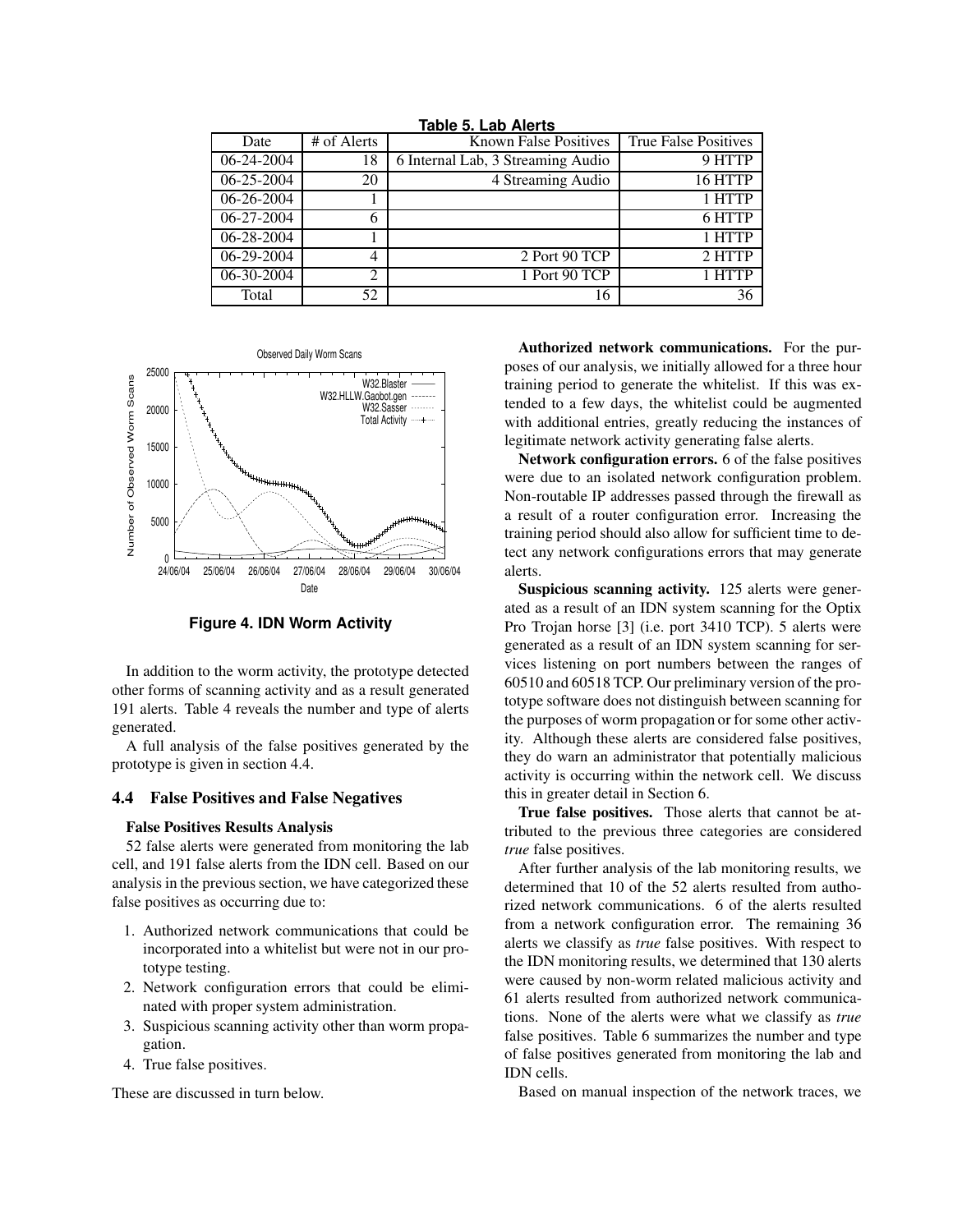| Date       | # of Alerts    | <b>Known False Positives</b>      | <b>True False Positives</b> |
|------------|----------------|-----------------------------------|-----------------------------|
| 06-24-2004 | 18             | 6 Internal Lab, 3 Streaming Audio | 9 HTTP                      |
| 06-25-2004 | 20             | 4 Streaming Audio                 | 16 HTTP                     |
| 06-26-2004 |                |                                   | 1 HTTP                      |
| 06-27-2004 | 6              |                                   | 6 HTTP                      |
| 06-28-2004 |                |                                   | 1 HTTP                      |
| 06-29-2004 | $\overline{4}$ | 2 Port 90 TCP                     | 2 HTTP                      |
| 06-30-2004 | 2              | 1 Port 90 TCP                     | 1 HTTP                      |
| Total      | 52             | 16                                | 36                          |

**Table 5. Lab Alerts**



**Figure 4. IDN Worm Activity**

In addition to the worm activity, the prototype detected other forms of scanning activity and as a result generated 191 alerts. Table 4 reveals the number and type of alerts generated.

A full analysis of the false positives generated by the prototype is given in section 4.4.

### **4.4 False Positives and False Negatives**

## **False Positives Results Analysis**

52 false alerts were generated from monitoring the lab cell, and 191 false alerts from the IDN cell. Based on our analysis in the previous section, we have categorized these false positives as occurring due to:

- 1. Authorized network communications that could be incorporated into a whitelist but were not in our prototype testing.
- 2. Network configuration errors that could be eliminated with proper system administration.
- 3. Suspicious scanning activity other than worm propagation.
- 4. True false positives.

These are discussed in turn below.

**Authorized network communications.** For the purposes of our analysis, we initially allowed for a three hour training period to generate the whitelist. If this was extended to a few days, the whitelist could be augmented with additional entries, greatly reducing the instances of legitimate network activity generating false alerts.

**Network configuration errors.** 6 of the false positives were due to an isolated network configuration problem. Non-routable IP addresses passed through the firewall as a result of a router configuration error. Increasing the training period should also allow for sufficient time to detect any network configurations errors that may generate alerts.

**Suspicious scanning activity.** 125 alerts were generated as a result of an IDN system scanning for the Optix Pro Trojan horse [3] (i.e. port 3410 TCP). 5 alerts were generated as a result of an IDN system scanning for services listening on port numbers between the ranges of 60510 and 60518 TCP. Our preliminary version of the prototype software does not distinguish between scanning for the purposes of worm propagation or for some other activity. Although these alerts are considered false positives, they do warn an administrator that potentially malicious activity is occurring within the network cell. We discuss this in greater detail in Section 6.

**True false positives.** Those alerts that cannot be attributed to the previous three categories are considered *true* false positives.

After further analysis of the lab monitoring results, we determined that 10 of the 52 alerts resulted from authorized network communications. 6 of the alerts resulted from a network configuration error. The remaining 36 alerts we classify as *true* false positives. With respect to the IDN monitoring results, we determined that 130 alerts were caused by non-worm related malicious activity and 61 alerts resulted from authorized network communications. None of the alerts were what we classify as *true* false positives. Table 6 summarizes the number and type of false positives generated from monitoring the lab and IDN cells.

Based on manual inspection of the network traces, we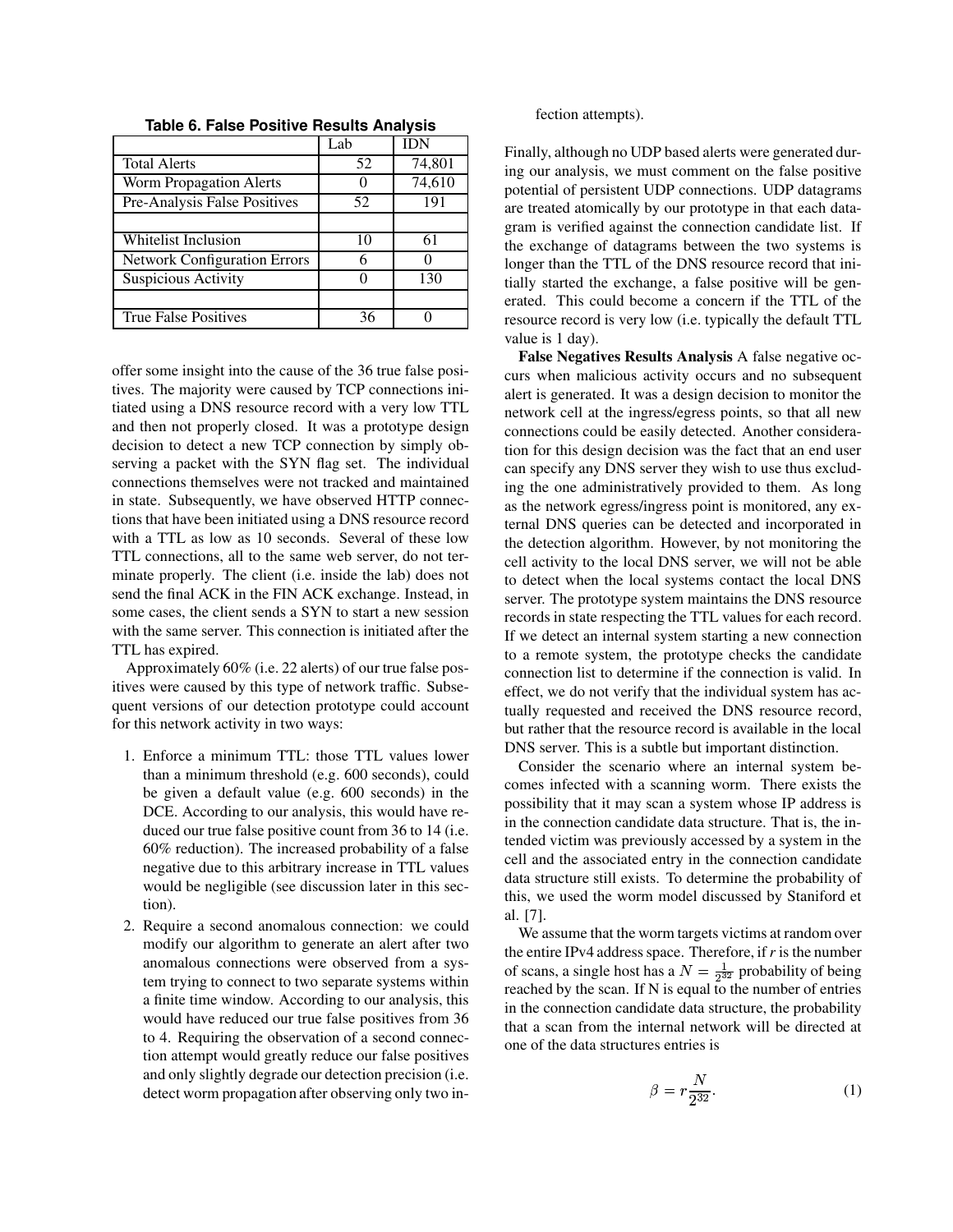|                                     | Lab | <b>IDN</b> |
|-------------------------------------|-----|------------|
| <b>Total Alerts</b>                 | 52  | 74,801     |
| Worm Propagation Alerts             |     | 74,610     |
| Pre-Analysis False Positives        | 52  | 191        |
|                                     |     |            |
| Whitelist Inclusion                 | 10  | 61         |
| <b>Network Configuration Errors</b> | 6   |            |
| Suspicious Activity                 |     | 130        |
|                                     |     |            |
| <b>True False Positives</b>         | 36  |            |

**Table 6. False Positive Results Analysis**

offer some insight into the cause of the 36 true false positives. The majority were caused by TCP connections initiated using a DNS resource record with a very low TTL and then not properly closed. It was a prototype design decision to detect a new TCP connection by simply observing a packet with the SYN flag set. The individual connections themselves were not tracked and maintained in state. Subsequently, we have observed HTTP connections that have been initiated using a DNS resource record with a TTL as low as 10 seconds. Several of these low TTL connections, all to the same web server, do not terminate properly. The client (i.e. inside the lab) does not send the final ACK in the FIN ACK exchange. Instead, in some cases, the client sends a SYN to start a new session with the same server. This connection is initiated after the TTL has expired.

Approximately 60% (i.e. 22 alerts) of our true false positives were caused by this type of network traffic. Subsequent versions of our detection prototype could account for this network activity in two ways:

- 1. Enforce a minimum TTL: those TTL values lower than a minimum threshold (e.g. 600 seconds), could be given a default value (e.g. 600 seconds) in the DCE. According to our analysis, this would have reduced our true false positive count from 36 to 14 (i.e. 60% reduction). The increased probability of a false negative due to this arbitrary increase in TTL values would be negligible (see discussion later in this section).
- 2. Require a second anomalous connection: we could modify our algorithm to generate an alert after two anomalous connections were observed from a system trying to connect to two separate systems within a finite time window. According to our analysis, this would have reduced our true false positives from 36 to 4. Requiring the observation of a second connection attempt would greatly reduce our false positives and only slightly degrade our detection precision (i.e. detect worm propagation after observing only two in-

fection attempts).

Finally, although no UDP based alerts were generated during our analysis, we must comment on the false positive potential of persistent UDP connections. UDP datagrams are treated atomically by our prototype in that each datagram is verified against the connection candidate list. If the exchange of datagrams between the two systems is longer than the TTL of the DNS resource record that initially started the exchange, a false positive will be generated. This could become a concern if the TTL of the resource record is very low (i.e. typically the default TTL value is 1 day).

**False Negatives Results Analysis** A false negative occurs when malicious activity occurs and no subsequent alert is generated. It was a design decision to monitor the network cell at the ingress/egress points, so that all new connections could be easily detected. Another consideration for this design decision was the fact that an end user can specify any DNS server they wish to use thus excluding the one administratively provided to them. As long as the network egress/ingress point is monitored, any external DNS queries can be detected and incorporated in the detection algorithm. However, by not monitoring the cell activity to the local DNS server, we will not be able to detect when the local systems contact the local DNS server. The prototype system maintains the DNS resource records in state respecting the TTL values for each record. If we detect an internal system starting a new connection to a remote system, the prototype checks the candidate connection list to determine if the connection is valid. In effect, we do not verify that the individual system has actually requested and received the DNS resource record, but rather that the resource record is available in the local DNS server. This is a subtle but important distinction.

Consider the scenario where an internal system becomes infected with a scanning worm. There exists the possibility that it may scan a system whose IP address is in the connection candidate data structure. That is, the intended victim was previously accessed by a system in the cell and the associated entry in the connection candidate data structure still exists. To determine the probability of this, we used the worm model discussed by Staniford et al. [7].

We assume that the worm targets victims at random over the entire IPv4 address space. Therefore, if *r* is the number of scans, a single host has a  $N = \frac{1}{2^{32}}$  probability of being reached by the scan. If N is equal to the number of entries in the connection candidate data structure, the probability that a scan from the internal network will be directed at one of the data structures entries is

$$
\beta = r \frac{N}{2^{32}}.\tag{1}
$$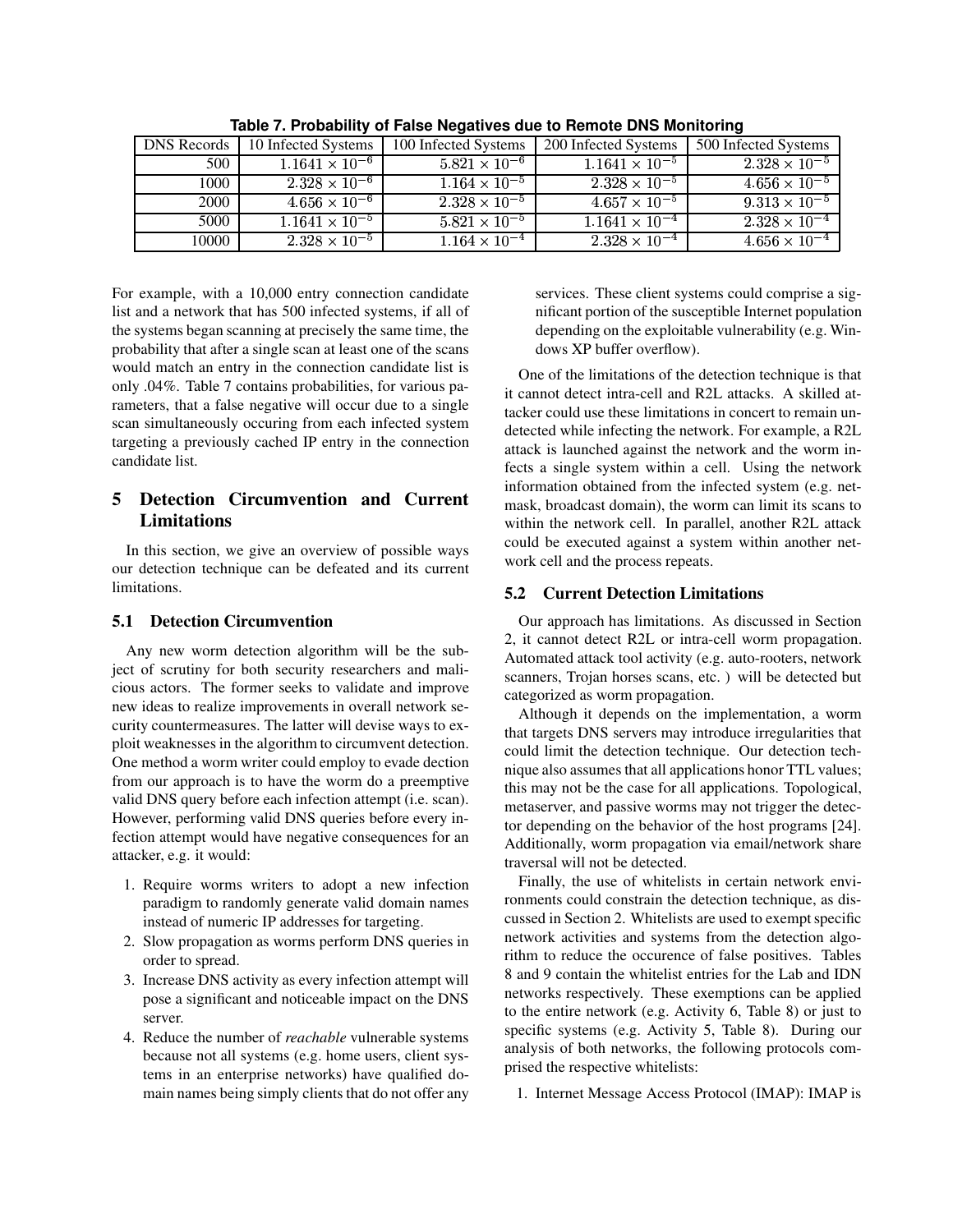| <b>DNS</b> Records | 10 Infected Systems     | 100 Infected Systems              | 200 Infected Systems    | 500 Infected Systems   |
|--------------------|-------------------------|-----------------------------------|-------------------------|------------------------|
| 500                | $1.1641 \times 10^{-6}$ | $5.821 \times 10^{-6}$            | $1.1641 \times 10^{-5}$ | $2.328 \times 10^{-5}$ |
| 1000               | $2.328 \times 10^{-6}$  | $1.164 \times 10^{-5}$            | $2.328 \times 10^{-5}$  | $4.656 \times 10^{-5}$ |
| 2000               | $4.656 \times 10^{-6}$  | $2.328 \times 10^{-5}$            | $4.657 \times 10^{-5}$  | $9.313 \times 10^{-5}$ |
| 5000               | $1.1641 \times 10^{-5}$ | $5.821 \times 10^{-5}$            | $1.1641 \times 10^{-4}$ | $2.328 \times 10^{-4}$ |
| 10000              | $2.328 \times 10^{-5}$  | $1.164 \times \overline{10^{-4}}$ | $2.328 \times 10^{-4}$  | $4.656 \times 10^{-4}$ |

**Table 7. Probability of False Negatives due to Remote DNS Monitoring**

For example, with a 10,000 entry connection candidate list and a network that has 500 infected systems, if all of the systems began scanning at precisely the same time, the probability that after a single scan at least one of the scans would match an entry in the connection candidate list is only .04%. Table 7 contains probabilities, for various parameters, that a false negative will occur due to a single scan simultaneously occuring from each infected system targeting a previously cached IP entry in the connection candidate list.

# **5 Detection Circumvention and Current Limitations**

In this section, we give an overview of possible ways our detection technique can be defeated and its current limitations.

# **5.1 Detection Circumvention**

Any new worm detection algorithm will be the subject of scrutiny for both security researchers and malicious actors. The former seeks to validate and improve new ideas to realize improvements in overall network security countermeasures. The latter will devise ways to exploit weaknesses in the algorithm to circumvent detection. One method a worm writer could employ to evade dection from our approach is to have the worm do a preemptive valid DNS query before each infection attempt (i.e. scan). However, performing valid DNS queries before every infection attempt would have negative consequences for an attacker, e.g. it would:

- 1. Require worms writers to adopt a new infection paradigm to randomly generate valid domain names instead of numeric IP addresses for targeting.
- 2. Slow propagation as worms perform DNS queries in order to spread.
- 3. Increase DNS activity as every infection attempt will pose a significant and noticeable impact on the DNS server.
- 4. Reduce the number of *reachable* vulnerable systems because not all systems (e.g. home users, client systems in an enterprise networks) have qualified domain names being simply clients that do not offer any

services. These client systems could comprise a significant portion of the susceptible Internet population depending on the exploitable vulnerability (e.g. Windows XP buffer overflow).

One of the limitations of the detection technique is that it cannot detect intra-cell and R2L attacks. A skilled attacker could use these limitations in concert to remain undetected while infecting the network. For example, a R2L attack is launched against the network and the worm infects a single system within a cell. Using the network information obtained from the infected system (e.g. netmask, broadcast domain), the worm can limit its scans to within the network cell. In parallel, another R2L attack could be executed against a system within another network cell and the process repeats.

# **5.2 Current Detection Limitations**

Our approach has limitations. As discussed in Section 2, it cannot detect R2L or intra-cell worm propagation. Automated attack tool activity (e.g. auto-rooters, network scanners, Trojan horses scans, etc. ) will be detected but categorized as worm propagation.

Although it depends on the implementation, a worm that targets DNS servers may introduce irregularities that could limit the detection technique. Our detection technique also assumes that all applications honor TTL values; this may not be the case for all applications. Topological, metaserver, and passive worms may not trigger the detector depending on the behavior of the host programs [24]. Additionally, worm propagation via email/network share traversal will not be detected.

Finally, the use of whitelists in certain network environments could constrain the detection technique, as discussed in Section 2. Whitelists are used to exempt specific network activities and systems from the detection algorithm to reduce the occurence of false positives. Tables 8 and 9 contain the whitelist entries for the Lab and IDN networks respectively. These exemptions can be applied to the entire network (e.g. Activity 6, Table 8) or just to specific systems (e.g. Activity 5, Table 8). During our analysis of both networks, the following protocols comprised the respective whitelists:

1. Internet Message Access Protocol (IMAP): IMAP is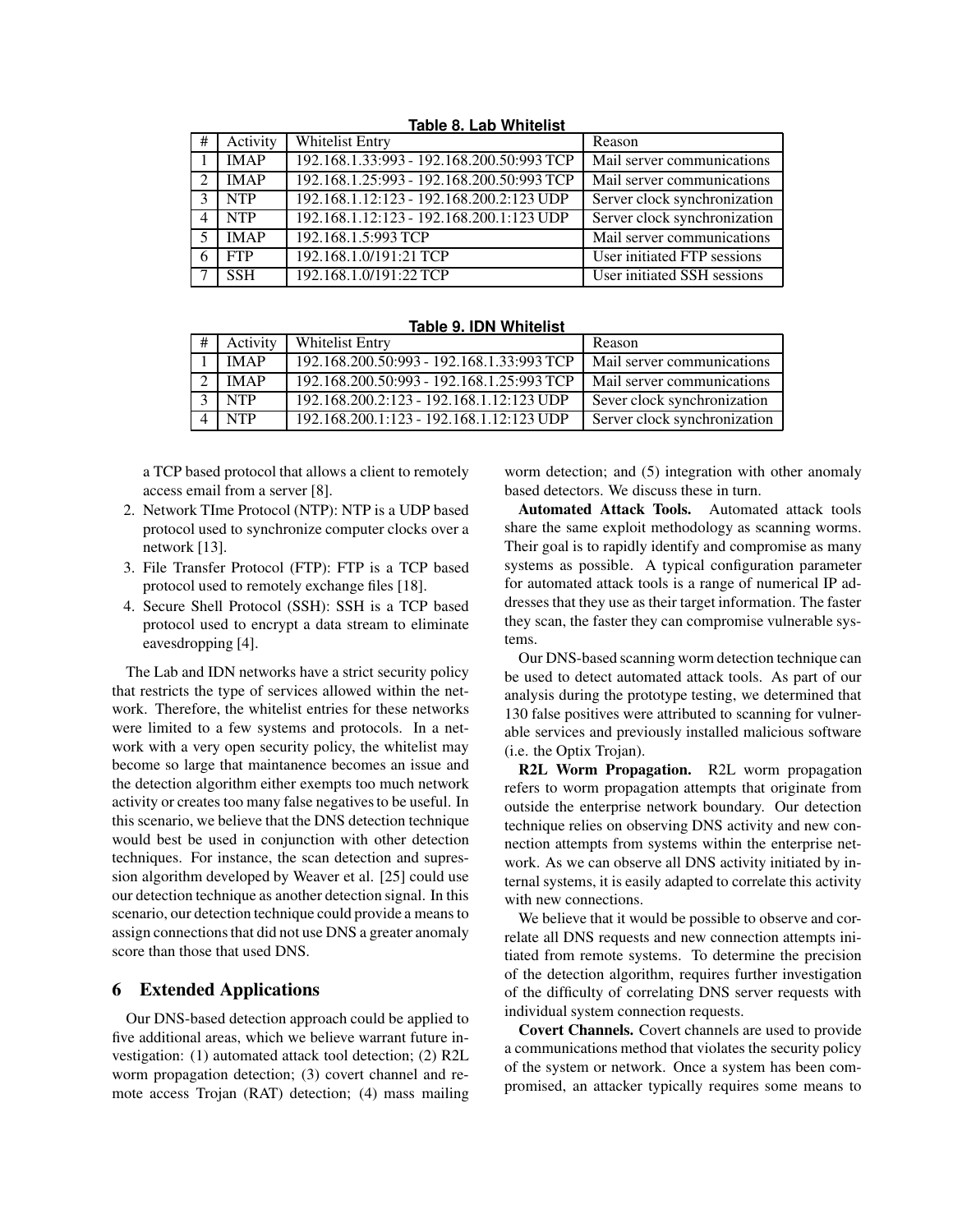|               | $1001C$ of Eqp Willie $131$ |                                           |                                    |  |  |  |
|---------------|-----------------------------|-------------------------------------------|------------------------------------|--|--|--|
| #             | Activity                    | Whitelist Entry                           | Reason                             |  |  |  |
|               | <b>IMAP</b>                 | 192.168.1.33:993 - 192.168.200.50:993 TCP | Mail server communications         |  |  |  |
| $\mathcal{D}$ | <b>IMAP</b>                 | 192.168.1.25:993 - 192.168.200.50:993 TCP | Mail server communications         |  |  |  |
| $\mathcal{R}$ | <b>NTP</b>                  | 192.168.1.12:123 - 192.168.200.2:123 UDP  | Server clock synchronization       |  |  |  |
| 4             | <b>NTP</b>                  | 192.168.1.12:123 - 192.168.200.1:123 UDP  | Server clock synchronization       |  |  |  |
|               | IMAP                        | 192.168.1.5:993 TCP                       | Mail server communications         |  |  |  |
| 6             | <b>FTP</b>                  | 192.168.1.0/191:21 TCP                    | User initiated FTP sessions        |  |  |  |
|               | <b>SSH</b>                  | 192.168.1.0/191:22 TCP                    | <b>User initiated SSH</b> sessions |  |  |  |

**Table 8. Lab Whitelist**

| <b>Table 9. IDN Whitelist</b> |  |  |  |
|-------------------------------|--|--|--|
|                               |  |  |  |

| Activity    | <b>Whitelist Entry</b>                    | Reason                       |
|-------------|-------------------------------------------|------------------------------|
| <b>IMAP</b> | 192.168.200.50:993 - 192.168.1.33:993 TCP | Mail server communications   |
| <b>IMAP</b> | 192.168.200.50:993 - 192.168.1.25:993 TCP | Mail server communications   |
| <b>NTP</b>  | 192.168.200.2:123 - 192.168.1.12:123 UDP  | Sever clock synchronization  |
| <b>NTP</b>  | 192.168.200.1:123 - 192.168.1.12:123 UDP  | Server clock synchronization |

a TCP based protocol that allows a client to remotely access email from a server [8].

- 2. Network TIme Protocol (NTP): NTP is a UDP based protocol used to synchronize computer clocks over a network [13].
- 3. File Transfer Protocol (FTP): FTP is a TCP based protocol used to remotely exchange files [18].
- 4. Secure Shell Protocol (SSH): SSH is a TCP based protocol used to encrypt a data stream to eliminate eavesdropping [4].

The Lab and IDN networks have a strict security policy that restricts the type of services allowed within the network. Therefore, the whitelist entries for these networks were limited to a few systems and protocols. In a network with a very open security policy, the whitelist may become so large that maintanence becomes an issue and the detection algorithm either exempts too much network activity or creates too many false negativesto be useful. In this scenario, we believe that the DNS detection technique would best be used in conjunction with other detection techniques. For instance, the scan detection and supression algorithm developed by Weaver et al. [25] could use our detection technique as another detection signal. In this scenario, our detection technique could provide a meansto assign connections that did not use DNS a greater anomaly score than those that used DNS.

## **6 Extended Applications**

Our DNS-based detection approach could be applied to five additional areas, which we believe warrant future investigation: (1) automated attack tool detection; (2) R2L worm propagation detection; (3) covert channel and remote access Trojan (RAT) detection; (4) mass mailing worm detection; and  $(5)$  integration with other anomaly based detectors. We discuss these in turn.

**Automated Attack Tools.** Automated attack tools share the same exploit methodology as scanning worms. Their goal is to rapidly identify and compromise as many systems as possible. A typical configuration parameter for automated attack tools is a range of numerical IP addresses that they use as their target information. The faster they scan, the faster they can compromise vulnerable systems.

Our DNS-based scanning worm detection technique can be used to detect automated attack tools. As part of our analysis during the prototype testing, we determined that 130 false positives were attributed to scanning for vulnerable services and previously installed malicious software (i.e. the Optix Trojan).

**R2L Worm Propagation.** R2L worm propagation refers to worm propagation attempts that originate from outside the enterprise network boundary. Our detection technique relies on observing DNS activity and new connection attempts from systems within the enterprise network. As we can observe all DNS activity initiated by internal systems, it is easily adapted to correlate this activity with new connections.

We believe that it would be possible to observe and correlate all DNS requests and new connection attempts initiated from remote systems. To determine the precision of the detection algorithm, requires further investigation of the difficulty of correlating DNS server requests with individual system connection requests.

**Covert Channels.** Covert channels are used to provide a communications method that violates the security policy of the system or network. Once a system has been compromised, an attacker typically requires some means to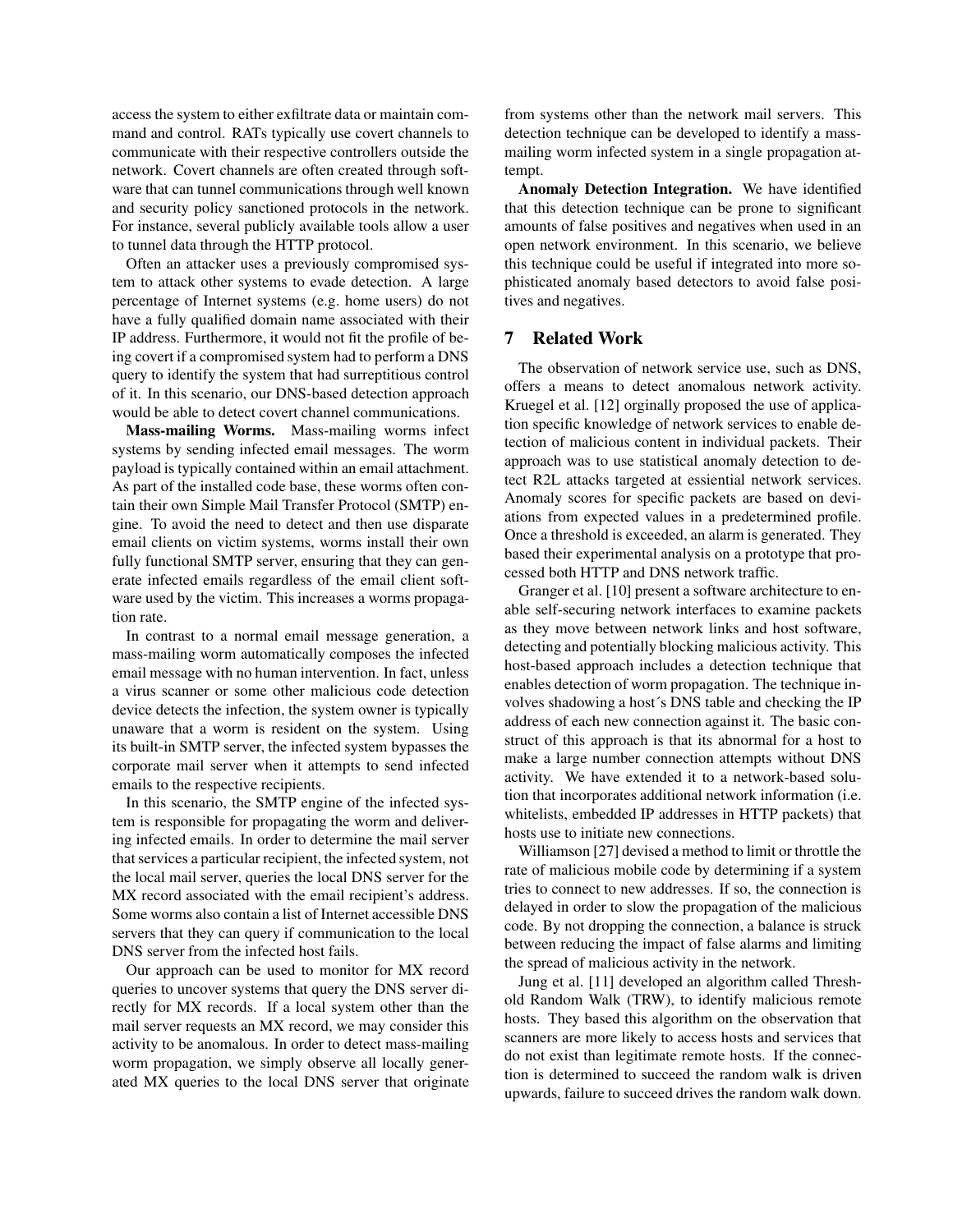access the system to either exfiltrate data or maintain command and control. RATs typically use covert channels to communicate with their respective controllers outside the network. Covert channels are often created through software that can tunnel communications through well known and security policy sanctioned protocols in the network. For instance, several publicly available tools allow a user to tunnel data through the HTTP protocol.

Often an attacker uses a previously compromised system to attack other systems to evade detection. A large percentage of Internet systems (e.g. home users) do not have a fully qualified domain name associated with their IP address. Furthermore, it would not fit the profile of being covert if a compromised system had to perform a DNS query to identify the system that had surreptitious control of it. In this scenario, our DNS-based detection approach would be able to detect covert channel communications.

**Mass-mailing Worms.** Mass-mailing worms infect systems by sending infected email messages. The worm payload is typically contained within an email attachment. As part of the installed code base, these worms often contain their own Simple Mail Transfer Protocol (SMTP) engine. To avoid the need to detect and then use disparate email clients on victim systems, worms install their own fully functional SMTP server, ensuring that they can generate infected emails regardless of the email client software used by the victim. This increases a worms propagation rate.

In contrast to a normal email message generation, a mass-mailing worm automatically composes the infected email message with no human intervention. In fact, unless a virus scanner or some other malicious code detection device detects the infection, the system owner is typically unaware that a worm is resident on the system. Using its built-in SMTP server, the infected system bypasses the corporate mail server when it attempts to send infected emails to the respective recipients.

In this scenario, the SMTP engine of the infected system is responsible for propagating the worm and delivering infected emails. In order to determine the mail server that services a particular recipient, the infected system, not the local mail server, queries the local DNS server for the MX record associated with the email recipient's address. Some worms also contain a list of Internet accessible DNS servers that they can query if communication to the local DNS server from the infected host fails.

Our approach can be used to monitor for MX record queries to uncover systems that query the DNS server directly for MX records. If a local system other than the mail server requests an MX record, we may consider this activity to be anomalous. In order to detect mass-mailing worm propagation, we simply observe all locally generated MX queries to the local DNS server that originate from systems other than the network mail servers. This detection technique can be developed to identify a massmailing worm infected system in a single propagation attempt.

**Anomaly Detection Integration.** We have identified that this detection technique can be prone to significant amounts of false positives and negatives when used in an open network environment. In this scenario, we believe this technique could be useful if integrated into more sophisticated anomaly based detectors to avoid false positives and negatives.

# **7 Related Work**

The observation of network service use, such as DNS, offers a means to detect anomalous network activity. Kruegel et al. [12] orginally proposed the use of application specific knowledge of network services to enable detection of malicious content in individual packets. Their approach was to use statistical anomaly detection to detect R2L attacks targeted at essiential network services. Anomaly scores for specific packets are based on deviations from expected values in a predetermined profile. Once a threshold is exceeded, an alarm is generated. They based their experimental analysis on a prototype that processed both HTTP and DNS network traffic.

Granger et al. [10] present a software architecture to enable self-securing network interfaces to examine packets as they move between network links and host software, detecting and potentially blocking malicious activity. This host-based approach includes a detection technique that enables detection of worm propagation. The technique involves shadowing a host´s DNS table and checking the IP address of each new connection against it. The basic construct of this approach is that its abnormal for a host to make a large number connection attempts without DNS activity. We have extended it to a network-based solution that incorporates additional network information (i.e. whitelists, embedded IP addresses in HTTP packets) that hosts use to initiate new connections.

Williamson [27] devised a method to limit or throttle the rate of malicious mobile code by determining if a system tries to connect to new addresses. If so, the connection is delayed in order to slow the propagation of the malicious code. By not dropping the connection, a balance is struck between reducing the impact of false alarms and limiting the spread of malicious activity in the network.

Jung et al. [11] developed an algorithm called Threshold Random Walk (TRW), to identify malicious remote hosts. They based this algorithm on the observation that scanners are more likely to access hosts and services that do not exist than legitimate remote hosts. If the connection is determined to succeed the random walk is driven upwards, failure to succeed drives the random walk down.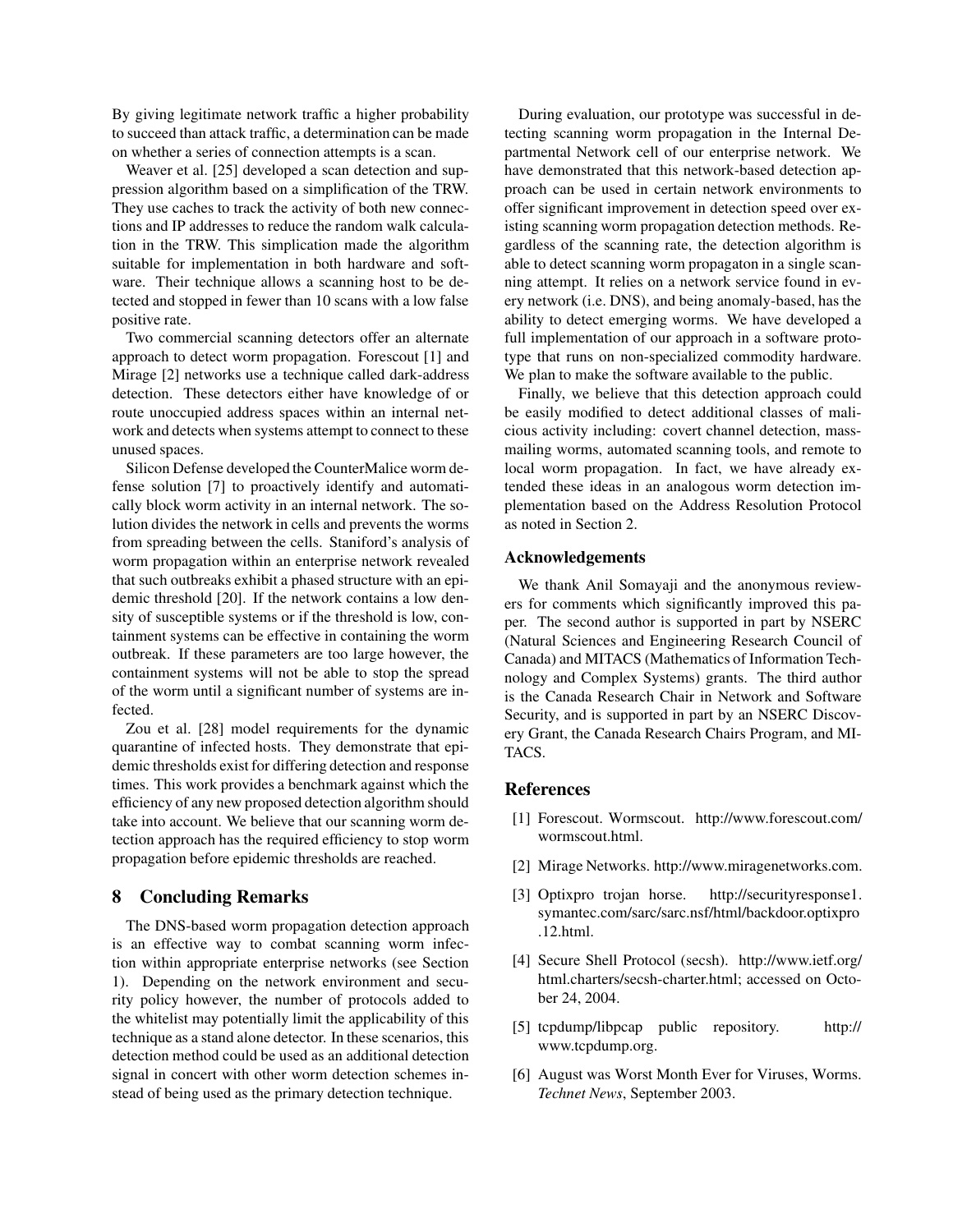By giving legitimate network traffic a higher probability to succeed than attack traffic, a determination can be made on whether a series of connection attempts is a scan.

Weaver et al. [25] developed a scan detection and suppression algorithm based on a simplification of the TRW. They use caches to track the activity of both new connections and IP addresses to reduce the random walk calculation in the TRW. This simplication made the algorithm suitable for implementation in both hardware and software. Their technique allows a scanning host to be detected and stopped in fewer than 10 scans with a low false positive rate.

Two commercial scanning detectors offer an alternate approach to detect worm propagation. Forescout [1] and Mirage [2] networks use a technique called dark-address detection. These detectors either have knowledge of or route unoccupied address spaces within an internal network and detects when systems attempt to connect to these unused spaces.

Silicon Defense developed the CounterMalice worm defense solution [7] to proactively identify and automatically block worm activity in an internal network. The solution divides the network in cells and prevents the worms from spreading between the cells. Staniford's analysis of worm propagation within an enterprise network revealed that such outbreaks exhibit a phased structure with an epidemic threshold [20]. If the network contains a low density of susceptible systems or if the threshold is low, containment systems can be effective in containing the worm outbreak. If these parameters are too large however, the containment systems will not be able to stop the spread of the worm until a significant number of systems are infected.

Zou et al. [28] model requirements for the dynamic quarantine of infected hosts. They demonstrate that epidemic thresholds exist for differing detection and response times. This work provides a benchmark against which the efficiency of any new proposed detection algorithm should take into account. We believe that our scanning worm detection approach has the required efficiency to stop worm propagation before epidemic thresholds are reached.

# **8 Concluding Remarks**

The DNS-based worm propagation detection approach is an effective way to combat scanning worm infection within appropriate enterprise networks (see Section 1). Depending on the network environment and security policy however, the number of protocols added to the whitelist may potentially limit the applicability of this technique as a stand alone detector. In these scenarios, this detection method could be used as an additional detection signal in concert with other worm detection schemes instead of being used as the primary detection technique.

During evaluation, our prototype was successful in detecting scanning worm propagation in the Internal Departmental Network cell of our enterprise network. We have demonstrated that this network-based detection approach can be used in certain network environments to offer significant improvement in detection speed over existing scanning worm propagation detection methods. Regardless of the scanning rate, the detection algorithm is able to detect scanning worm propagaton in a single scanning attempt. It relies on a network service found in every network (i.e. DNS), and being anomaly-based, has the ability to detect emerging worms. We have developed a full implementation of our approach in a software prototype that runs on non-specialized commodity hardware. We plan to make the software available to the public.

Finally, we believe that this detection approach could be easily modified to detect additional classes of malicious activity including: covert channel detection, massmailing worms, automated scanning tools, and remote to local worm propagation. In fact, we have already extended these ideas in an analogous worm detection implementation based on the Address Resolution Protocol as noted in Section 2.

### **Acknowledgements**

We thank Anil Somayaji and the anonymous reviewers for comments which significantly improved this paper. The second author is supported in part by NSERC (Natural Sciences and Engineering Research Council of Canada) and MITACS (Mathematics of Information Technology and Complex Systems) grants. The third author is the Canada Research Chair in Network and Software Security, and is supported in part by an NSERC Discovery Grant, the Canada Research Chairs Program, and MI-TACS.

### **References**

- [1] Forescout. Wormscout. http://www.forescout.com/ wormscout.html.
- [2] Mirage Networks. http://www.miragenetworks.com.
- [3] Optixpro trojan horse. http://securityresponse1. symantec.com/sarc/sarc.nsf/html/backdoor.optixpro .12.html.
- [4] Secure Shell Protocol (secsh). http://www.ietf.org/ html.charters/secsh-charter.html; accessed on October 24, 2004.
- [5] tcpdump/libpcap public repository. http:// www.tcpdump.org.
- [6] August was Worst Month Ever for Viruses, Worms. *Technet News*, September 2003.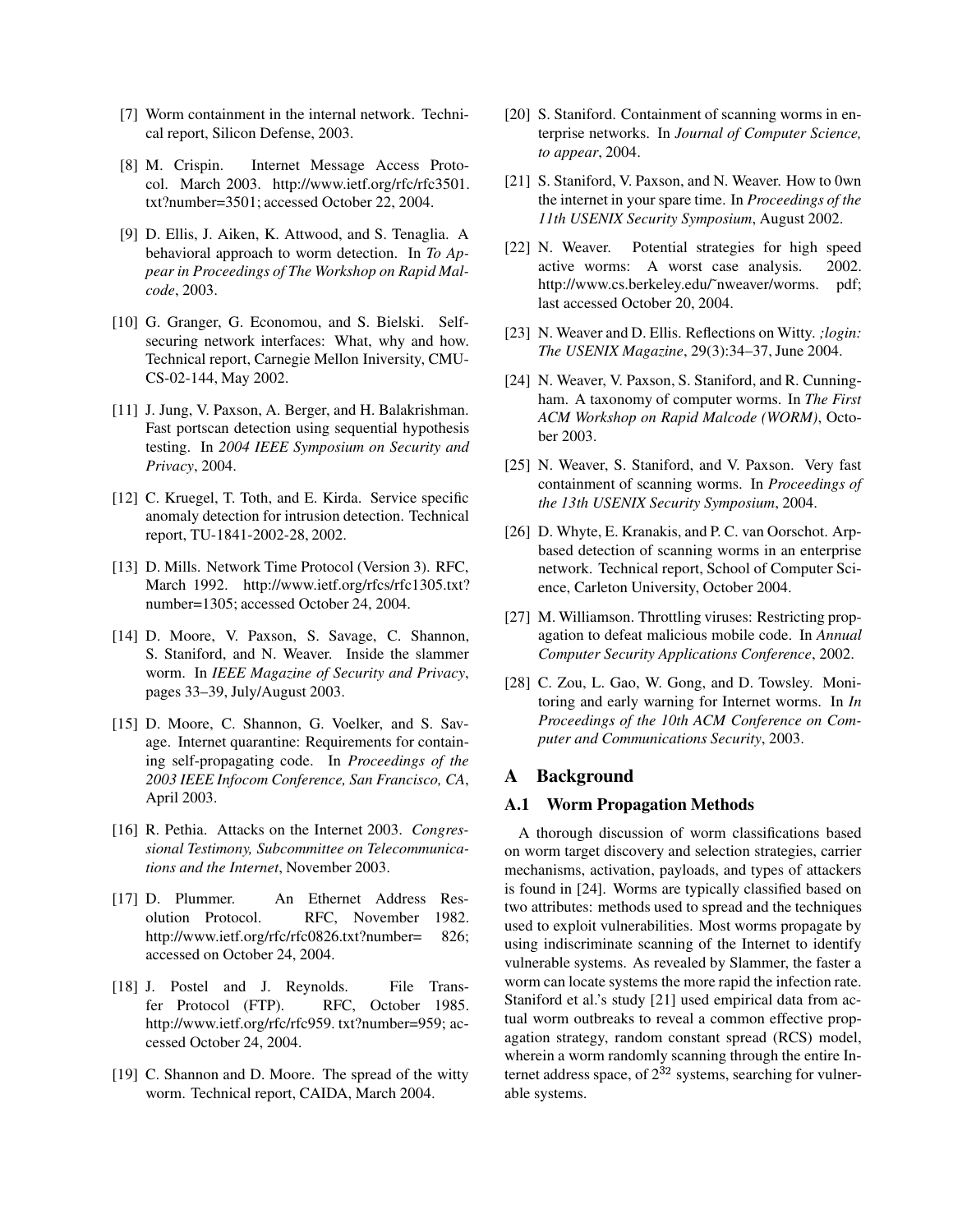- [7] Worm containment in the internal network. Technical report, Silicon Defense, 2003.
- [8] M. Crispin. Internet Message Access Protocol. March 2003. http://www.ietf.org/rfc/rfc3501. txt?number=3501; accessed October 22, 2004.
- [9] D. Ellis, J. Aiken, K. Attwood, and S. Tenaglia. A behavioral approach to worm detection. In *To Appear in Proceedings of The Workshop on Rapid Malcode*, 2003.
- [10] G. Granger, G. Economou, and S. Bielski. Selfsecuring network interfaces: What, why and how. Technical report, Carnegie Mellon Iniversity, CMU-CS-02-144, May 2002.
- [11] J. Jung, V. Paxson, A. Berger, and H. Balakrishman. Fast portscan detection using sequential hypothesis testing. In *2004 IEEE Symposium on Security and Privacy*, 2004.
- [12] C. Kruegel, T. Toth, and E. Kirda. Service specific anomaly detection for intrusion detection. Technical report, TU-1841-2002-28, 2002.
- [13] D. Mills. Network Time Protocol (Version 3). RFC, March 1992. http://www.ietf.org/rfcs/rfc1305.txt? number=1305; accessed October 24, 2004.
- [14] D. Moore, V. Paxson, S. Savage, C. Shannon, S. Staniford, and N. Weaver. Inside the slammer worm. In *IEEE Magazine of Security and Privacy*, pages 33–39, July/August 2003.
- [15] D. Moore, C. Shannon, G. Voelker, and S. Savage. Internet quarantine: Requirements for containing self-propagating code. In *Proceedings of the 2003 IEEE Infocom Conference, San Francisco, CA*, April 2003.
- [16] R. Pethia. Attacks on the Internet 2003. *Congressional Testimony, Subcommittee on Telecommunications and the Internet*, November 2003.
- [17] D. Plummer. An Ethernet Address Resolution Protocol. RFC, November 1982. http://www.ietf.org/rfc/rfc0826.txt?number= 826; accessed on October 24, 2004.
- [18] J. Postel and J. Reynolds. File Transfer Protocol (FTP). RFC, October 1985. http://www.ietf.org/rfc/rfc959. txt?number=959; accessed October 24, 2004.
- [19] C. Shannon and D. Moore. The spread of the witty worm. Technical report, CAIDA, March 2004.
- [20] S. Staniford. Containment of scanning worms in enterprise networks. In *Journal of Computer Science, to appear*, 2004.
- [21] S. Staniford, V. Paxson, and N. Weaver. How to 0wn the internet in your spare time. In *Proceedings of the 11th USENIX Security Symposium*, August 2002.
- [22] N. Weaver. Potential strategies for high speed active worms: A worst case analysis. 2002. http://www.cs.berkeley.edu/˜nweaver/worms. pdf; last accessed October 20, 2004.
- [23] N. Weaver and D. Ellis. Reflections on Witty. *;login: The USENIX Magazine*, 29(3):34–37, June 2004.
- [24] N. Weaver, V. Paxson, S. Staniford, and R. Cunningham. A taxonomy of computer worms. In *The First ACM Workshop on Rapid Malcode (WORM)*, October 2003.
- [25] N. Weaver, S. Staniford, and V. Paxson. Very fast containment of scanning worms. In *Proceedings of the 13th USENIX Security Symposium*, 2004.
- [26] D. Whyte, E. Kranakis, and P. C. van Oorschot. Arpbased detection of scanning worms in an enterprise network. Technical report, School of Computer Science, Carleton University, October 2004.
- [27] M. Williamson. Throttling viruses: Restricting propagation to defeat malicious mobile code. In *Annual Computer Security Applications Conference*, 2002.
- [28] C. Zou, L. Gao, W. Gong, and D. Towsley. Monitoring and early warning for Internet worms. In *In Proceedings of the 10th ACM Conference on Computer and Communications Security*, 2003.

# **A Background**

### **A.1 Worm Propagation Methods**

A thorough discussion of worm classifications based on worm target discovery and selection strategies, carrier mechanisms, activation, payloads, and types of attackers is found in [24]. Worms are typically classified based on two attributes: methods used to spread and the techniques used to exploit vulnerabilities. Most worms propagate by using indiscriminate scanning of the Internet to identify vulnerable systems. As revealed by Slammer, the faster a worm can locate systems the more rapid the infection rate. Staniford et al.'s study [21] used empirical data from actual worm outbreaks to reveal a common effective propagation strategy, random constant spread (RCS) model, wherein a worm randomly scanning through the entire Internet address space, of  $2^{32}$  systems, searching for vulnerable systems.